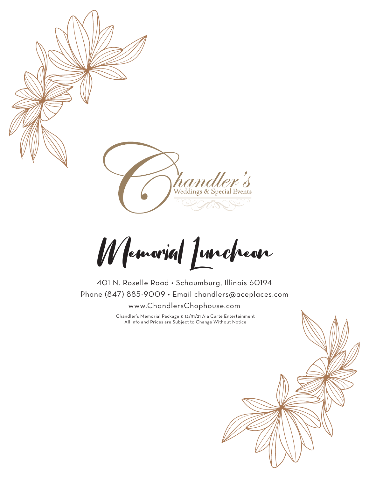

Memorial Luncheon

401 N. Roselle Road • Schaumburg, Illinois 60194 Phone (847) 885-9009 • Email chandlers@aceplaces.com www.ChandlersChophouse.com

> Chandler's Memorial Package © 12/31/21 Ala Carte Entertainment All Info and Prices are Subject to Change Without Notice

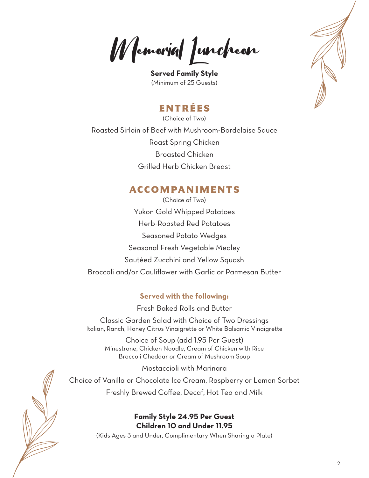Memorial Luncheon

**Served Family Style** (Minimum of 25 Guests)

# ENTRÉES

(Choice of Two) Roasted Sirloin of Beef with Mushroom-Bordelaise Sauce Roast Spring Chicken Broasted Chicken Grilled Herb Chicken Breast

## ACCOMPANIMENTS

(Choice of Two) Yukon Gold Whipped Potatoes Herb-Roasted Red Potatoes Seasoned Potato Wedges Seasonal Fresh Vegetable Medley Sautéed Zucchini and Yellow Squash Broccoli and/or Cauliflower with Garlic or Parmesan Butter

### **Served with the following:**

Fresh Baked Rolls and Butter

Classic Garden Salad with Choice of Two Dressings Italian, Ranch, Honey Citrus Vinaigrette or White Balsamic Vinaigrette

Choice of Soup (add 1.95 Per Guest) Minestrone, Chicken Noodle, Cream of Chicken with Rice Broccoli Cheddar or Cream of Mushroom Soup

Mostaccioli with Marinara

Choice of Vanilla or Chocolate Ice Cream, Raspberry or Lemon Sorbet Freshly Brewed Coffee, Decaf, Hot Tea and Milk

## **Family Style 24.95 Per Guest Children 10 and Under 11.95**

(Kids Ages 3 and Under, Complimentary When Sharing a Plate)